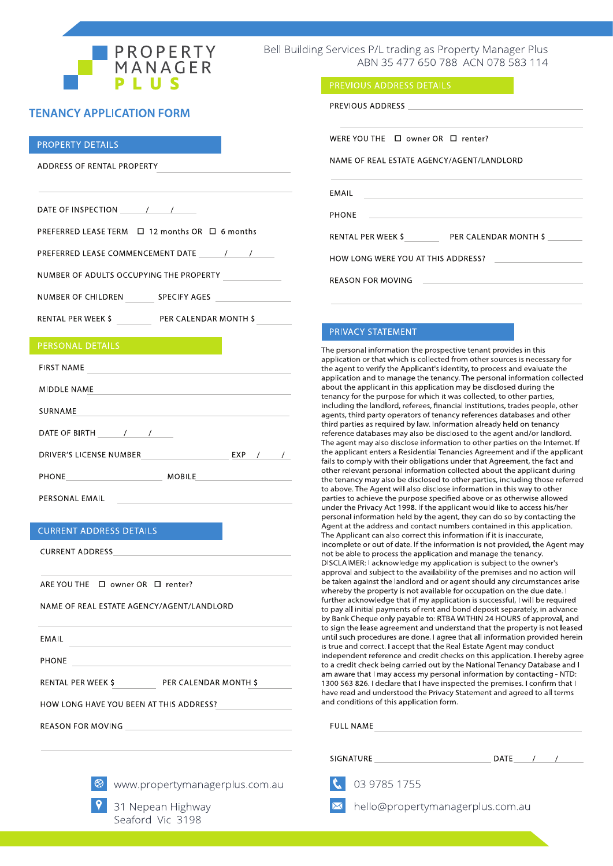

Bell Building Services P/L trading as Property Manager Plus ABN 35 477 650 788 ACN 078 583 114

PREVIOUS ADDRESS DETAILS

## **TENANCY APPLICATION FORM**

### **PROPERTY DETAILS**

ADDRESS OF RENTAL PROPERTY

PREFERRED LEASE TERM □ 12 months OR □ 6 months

PREFERRED LEASE COMMENCEMENT DATE / /

NUMBER OF ADULTS OCCUPYING THE PROPERTY

NUMBER OF CHILDREN SPECIFY AGES

RENTAL PER WEEK \$ PER CALENDAR MONTH \$

| <b>FIRST NAME</b>              |               |            |               |  |
|--------------------------------|---------------|------------|---------------|--|
| <b>MIDDLE NAME</b>             |               |            |               |  |
| SURNAME                        |               |            |               |  |
| DATE OF BIRTH /<br>$\prime$    |               |            |               |  |
| <b>DRIVER'S LICENSE NUMBER</b> |               | <b>EXP</b> | $\frac{1}{2}$ |  |
| <b>PHONE</b>                   | <b>MOBILE</b> |            |               |  |
| PERSONAL EMAIL                 |               |            |               |  |

## **CURRENT ADDRESS DETAILS**

**CURRENT ADDRESS** 

ARE YOU THE □ owner OR □ renter?

NAME OF REAL ESTATE AGENCY/AGENT/LANDLORD

| EMAIL                                   |                       |  |  |  |
|-----------------------------------------|-----------------------|--|--|--|
| <b>PHONE</b>                            |                       |  |  |  |
| <b>RENTAL PER WEEK \$</b>               | PER CALENDAR MONTH \$ |  |  |  |
| HOW LONG HAVE YOU BEEN AT THIS ADDRESS? |                       |  |  |  |
| <b>REASON FOR MOVING</b>                |                       |  |  |  |



<sup>⊗</sup> www.propertymanagerplus.com.au

31 Nepean Highway Seaford Vic 3198

| PREVIOUS ADDRESS DESCRIPTION OF THE SERVICES OF THE SERVICES OF THE SERVICES OF THE SERVICE OF THE SERVICE OF THE SERVICE OF THE SERVICE OF THE SERVICE OF THE SERVICE OF THE SERVICE OF THE SERVICE OF THE SERVICE OF THE SER |                                         |
|--------------------------------------------------------------------------------------------------------------------------------------------------------------------------------------------------------------------------------|-----------------------------------------|
|                                                                                                                                                                                                                                |                                         |
| WERE YOU THE $\Box$ owner OR $\Box$ renter?                                                                                                                                                                                    |                                         |
| NAME OF REAL ESTATE AGENCY/AGENT/LANDLORD                                                                                                                                                                                      |                                         |
| EMAIL                                                                                                                                                                                                                          |                                         |
| <b>PHONE</b><br><u> 1989 - John Stein, mars and de Britain and de Britain and de Britain and de Britain and de Britain and de Br</u>                                                                                           |                                         |
|                                                                                                                                                                                                                                | RENTAL PER WEEK \$PER CALENDAR MONTH \$ |
| HOW LONG WERE YOU AT THIS ADDRESS?                                                                                                                                                                                             |                                         |
| <b>REASON FOR MOVING</b>                                                                                                                                                                                                       |                                         |

## PRIVACY STATEMENT

The personal information the prospective tenant provides in this application or that which is collected from other sources is necessary for the agent to verify the Applicant's identity, to process and evaluate the application and to manage the tenancy. The personal information collected about the applicant in this application may be disclosed during the tenancy for the purpose for which it was collected, to other parties, including the landlord, referees, financial institutions, trades people, other agents, third party operators of tenancy references databases and other third parties as required by law. Information already held on tenancy reference databases may also be disclosed to the agent and/or landlord. The agent may also disclose information to other parties on the Internet. If the applicant enters a Residential Tenancies Agreement and if the applicant fails to comply with their obligations under that Agreement, the fact and other relevant personal information collected about the applicant during the tenancy may also be disclosed to other parties, including those referred to above. The Agent will also disclose information in this way to other parties to achieve the purpose specified above or as otherwise allowed under the Privacy Act 1998. If the applicant would like to access his/her personal information held by the agent, they can do so by contacting the Agent at the address and contact numbers contained in this application. The Applicant can also correct this information if it is inaccurate, incomplete or out of date. If the information is not provided, the Agent may not be able to process the application and manage the tenancy. DISCLAIMER: I acknowledge my application is subject to the owner's approval and subject to the availability of the premises and no action will be taken against the landlord and or agent should any circumstances arise whereby the property is not available for occupation on the due date. I further acknowledge that if my application is successful, I will be required to pay all initial payments of rent and bond deposit separately, in advance by Bank Cheque only payable to: RTBA WITHIN 24 HOURS of approval, and to sign the lease agreement and understand that the property is not leased until such procedures are done. I agree that all information provided herein is true and correct. I accept that the Real Estate Agent may conduct independent reference and credit checks on this application. I hereby agree to a credit check being carried out by the National Tenancy Database and I am aware that I may access my personal information by contacting - NTD: 1300 563 826. I declare that I have inspected the premises. I confirm that I have read and understood the Privacy Statement and agreed to all terms and conditions of this application form.

### **FULL NAME**

# **SIGNATURE** 03 9785 1755



hello@propertymanagerplus.com.au

DATE  $/$  /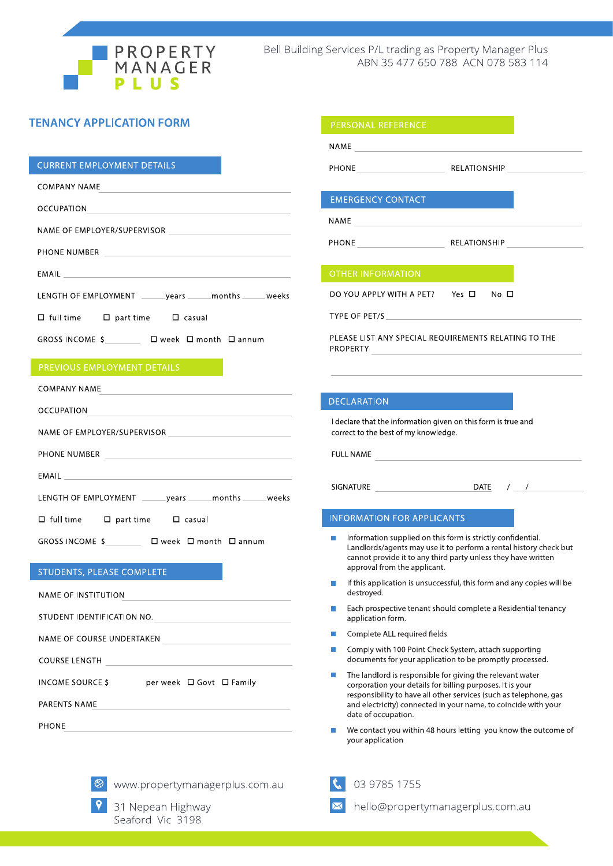

## **TENANCY APPLICATION FORM**

## **CURRENT EMPLOYMENT DETAILS**

| COMPANY NAME                                                  |
|---------------------------------------------------------------|
| <b>OCCUPATION</b>                                             |
|                                                               |
| PHONE NUMBER                                                  |
|                                                               |
| LENGTH OF EMPLOYMENT _______ years ______ months ______ weeks |
| $\Box$ full time $\Box$ part time $\Box$ casual               |
| GROSS INCOME \$ □ week □ month □ annum                        |
|                                                               |

| <b>COMPANY NAME</b>                                                                                                                                                                                                                  |
|--------------------------------------------------------------------------------------------------------------------------------------------------------------------------------------------------------------------------------------|
|                                                                                                                                                                                                                                      |
|                                                                                                                                                                                                                                      |
|                                                                                                                                                                                                                                      |
| EMAIL <b>Experience of the contract of the contract of the contract of the contract of the contract of the contract of the contract of the contract of the contract of the contract of the contract of the contract of the contr</b> |
| LENGTH OF EMPLOYMENT _______ years ______ months ______ weeks                                                                                                                                                                        |
| $\square$ full time $\square$ part time $\square$ casual                                                                                                                                                                             |
| GROSS INCOME \$ □ week □ month □ annum                                                                                                                                                                                               |
| <b>STUDENTS, PLEASE COMPLETE</b>                                                                                                                                                                                                     |

| NAME OF INSTITUTION        |                          |
|----------------------------|--------------------------|
| STUDENT IDENTIFICATION NO. |                          |
| NAME OF COURSE UNDERTAKEN  |                          |
| COURSE LENGTH              |                          |
| <b>INCOME SOURCE S</b>     | per week □ Govt □ Family |
| PARENTS NAME               |                          |

PHONE

|  |  |  |  |  |  |  |  | www.propertymanagerplus.com.au |  |
|--|--|--|--|--|--|--|--|--------------------------------|--|
|--|--|--|--|--|--|--|--|--------------------------------|--|



 $\otimes$ 

8 31 Nepean Highway Seaford Vic 3198

|    | <b>PERSONAL REFERENCE</b>                                                                                              |                                                                                                                                    |
|----|------------------------------------------------------------------------------------------------------------------------|------------------------------------------------------------------------------------------------------------------------------------|
|    |                                                                                                                        |                                                                                                                                    |
|    |                                                                                                                        |                                                                                                                                    |
|    |                                                                                                                        |                                                                                                                                    |
|    | <b>EMERGENCY CONTACT</b>                                                                                               |                                                                                                                                    |
|    | NAME                                                                                                                   |                                                                                                                                    |
|    |                                                                                                                        | PHONE RELATIONSHIP                                                                                                                 |
|    | <b>OTHER INFORMATION</b>                                                                                               |                                                                                                                                    |
|    | DO YOU APPLY WITH A PET? Yes ロ No ロ                                                                                    |                                                                                                                                    |
|    | TYPE OF PET/S THE TABLE TO THE TABLE TO THE TABLE TO THE TABLE TO THE TABLE                                            |                                                                                                                                    |
|    | PROPERTY<br>and the control of the control of the control of                                                           | PLEASE LIST ANY SPECIAL REOUIREMENTS RELATING TO THE                                                                               |
|    |                                                                                                                        |                                                                                                                                    |
|    | <b>DECLARATION</b>                                                                                                     |                                                                                                                                    |
|    | I declare that the information given on this form is true and<br>correct to the best of my knowledge.                  |                                                                                                                                    |
|    | FULL NAME                                                                                                              |                                                                                                                                    |
|    |                                                                                                                        | SIGNATURE DATE / / /                                                                                                               |
|    |                                                                                                                        |                                                                                                                                    |
|    | <b>INFORMATION FOR APPLICANTS</b>                                                                                      |                                                                                                                                    |
|    | Information supplied on this form is strictly confidential.<br>approval from the applicant.                            | Landlords/agents may use it to perform a rental history check but<br>cannot provide it to any third party unless they have written |
|    | destroyed.                                                                                                             | If this application is unsuccessful, this form and any copies will be                                                              |
|    | application form.                                                                                                      | Each prospective tenant should complete a Residential tenancy                                                                      |
|    | Complete ALL required fields                                                                                           |                                                                                                                                    |
|    | Comply with 100 Point Check System, attach supporting                                                                  | documents for your application to be promptly processed.                                                                           |
| h. | The landlord is responsible for giving the relevant water<br>corporation your details for billing purposes. It is your |                                                                                                                                    |

We contact you within 48 hours letting you know the outcome of your application

responsibility to have all other services (such as telephone, gas and electricity) connected in your name, to coincide with your

### $\mathfrak{C}$ 03 9785 1755

date of occupation.

 $\overline{\mathbf{M}}$ hello@propertymanagerplus.com.au